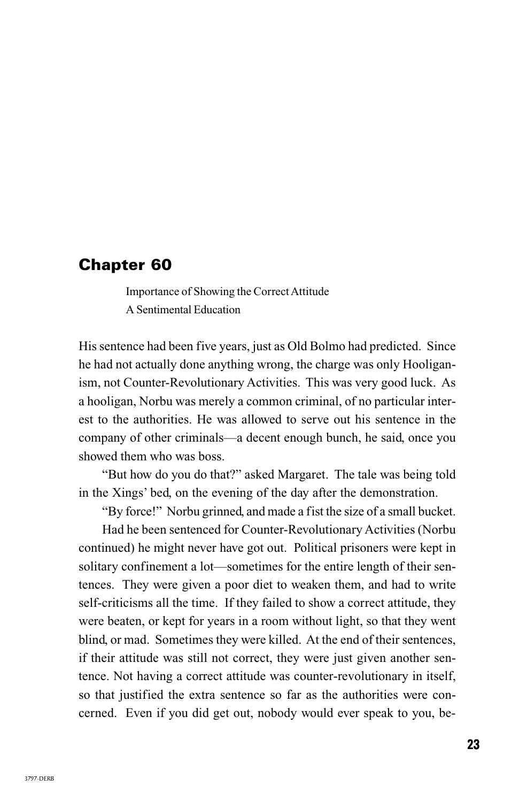## **Chapter 60**

Importance of Showing the Correct Attitude A Sentimental Education

His sentence had been five years, just as Old Bolmo had predicted. Since he had not actually done anything wrong, the charge was only Hooliganism, not Counter-Revolutionary Activities. This was very good luck. As a hooligan, Norbu was merely a common criminal, of no particular interest to the authorities. He was allowed to serve out his sentence in the company of other criminals—a decent enough bunch, he said, once you showed them who was boss.

"But how do you do that?" asked Margaret. The tale was being told in the Xings' bed, on the evening of the day after the demonstration.

"By force!" Norbu grinned, and made a fist the size of a small bucket.

Had he been sentenced for Counter-Revolutionary Activities (Norbu continued) he might never have got out. Political prisoners were kept in solitary confinement a lot—sometimes for the entire length of their sentences. They were given a poor diet to weaken them, and had to write self-criticisms all the time. If they failed to show a correct attitude, they were beaten, or kept for years in a room without light, so that they went blind, or mad. Sometimes they were killed. At the end of their sentences, if their attitude was still not correct, they were just given another sentence. Not having a correct attitude was counter-revolutionary in itself, so that justified the extra sentence so far as the authorities were concerned. Even if you did get out, nobody would ever speak to you, be-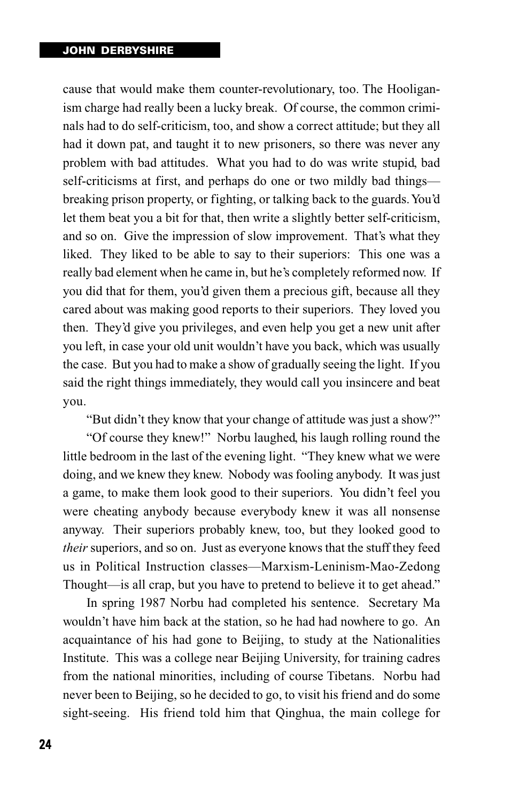## **JOHN DERBYSHIRE**

cause that would make them counter-revolutionary, too. The Hooliganism charge had really been a lucky break. Of course, the common criminals had to do self-criticism, too, and show a correct attitude; but they all had it down pat, and taught it to new prisoners, so there was never any problem with bad attitudes. What you had to do was write stupid, bad self-criticisms at first, and perhaps do one or two mildly bad things breaking prison property, or fighting, or talking back to the guards. You'd let them beat you a bit for that, then write a slightly better self-criticism, and so on. Give the impression of slow improvement. That's what they liked. They liked to be able to say to their superiors: This one was a really bad element when he came in, but he's completely reformed now. If you did that for them, you'd given them a precious gift, because all they cared about was making good reports to their superiors. They loved you then. They'd give you privileges, and even help you get a new unit after you left, in case your old unit wouldn't have you back, which was usually the case. But you had to make a show of gradually seeing the light. If you said the right things immediately, they would call you insincere and beat you.

"But didn't they know that your change of attitude was just a show?"

"Of course they knew!" Norbu laughed, his laugh rolling round the little bedroom in the last of the evening light. "They knew what we were doing, and we knew they knew. Nobody was fooling anybody. It was just a game, to make them look good to their superiors. You didn't feel you were cheating anybody because everybody knew it was all nonsense anyway. Their superiors probably knew, too, but they looked good to *their* superiors, and so on. Just as everyone knows that the stuff they feed us in Political Instruction classes—Marxism-Leninism-Mao-Zedong Thought—is all crap, but you have to pretend to believe it to get ahead."

In spring 1987 Norbu had completed his sentence. Secretary Ma wouldn't have him back at the station, so he had had nowhere to go. An acquaintance of his had gone to Beijing, to study at the Nationalities Institute. This was a college near Beijing University, for training cadres from the national minorities, including of course Tibetans. Norbu had never been to Beijing, so he decided to go, to visit his friend and do some sight-seeing. His friend told him that Qinghua, the main college for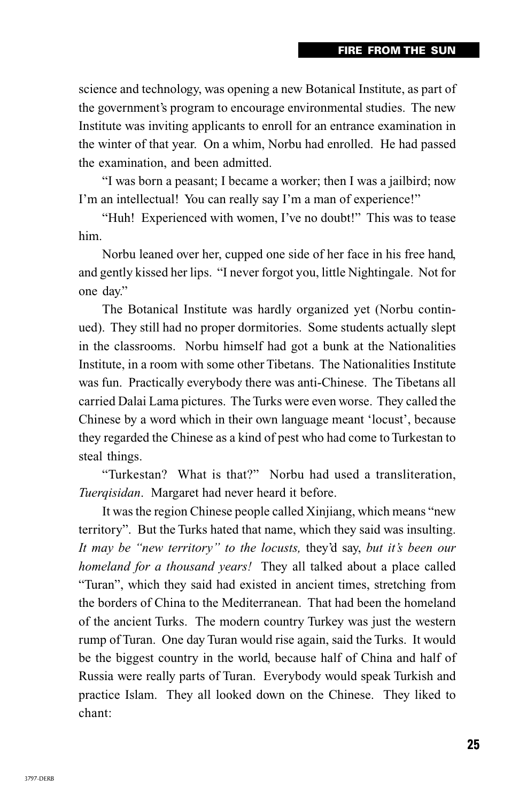science and technology, was opening a new Botanical Institute, as part of the government's program to encourage environmental studies. The new Institute was inviting applicants to enroll for an entrance examination in the winter of that year. On a whim, Norbu had enrolled. He had passed the examination, and been admitted.

"I was born a peasant; I became a worker; then I was a jailbird; now I'm an intellectual! You can really say I'm a man of experience!"

"Huh! Experienced with women, I've no doubt!" This was to tease him.

Norbu leaned over her, cupped one side of her face in his free hand, and gently kissed her lips. "I never forgot you, little Nightingale. Not for one day."

The Botanical Institute was hardly organized yet (Norbu continued). They still had no proper dormitories. Some students actually slept in the classrooms. Norbu himself had got a bunk at the Nationalities Institute, in a room with some other Tibetans. The Nationalities Institute was fun. Practically everybody there was anti-Chinese. The Tibetans all carried Dalai Lama pictures. The Turks were even worse. They called the Chinese by a word which in their own language meant 'locust', because they regarded the Chinese as a kind of pest who had come to Turkestan to steal things.

"Turkestan? What is that?" Norbu had used a transliteration, *Tuerqisidan*. Margaret had never heard it before.

It was the region Chinese people called Xinjiang, which means "new territory". But the Turks hated that name, which they said was insulting. *It may be "new territory" to the locusts,* they'd say, *but it's been our homeland for a thousand years!* They all talked about a place called "Turan", which they said had existed in ancient times, stretching from the borders of China to the Mediterranean. That had been the homeland of the ancient Turks. The modern country Turkey was just the western rump of Turan. One day Turan would rise again, said the Turks. It would be the biggest country in the world, because half of China and half of Russia were really parts of Turan. Everybody would speak Turkish and practice Islam. They all looked down on the Chinese. They liked to chant: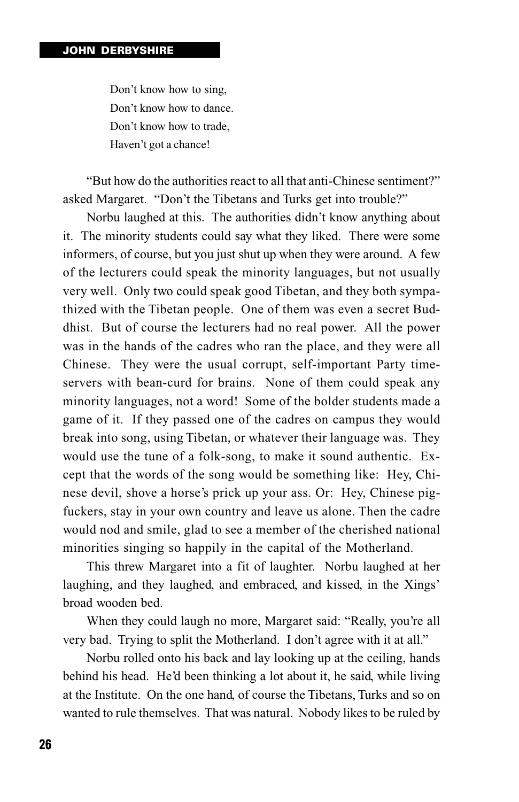Don't know how to sing, Don't know how to dance. Don't know how to trade, Haven't got a chance!

"But how do the authorities react to all that anti-Chinese sentiment?" asked Margaret. "Don't the Tibetans and Turks get into trouble?"

Norbu laughed at this. The authorities didn't know anything about it. The minority students could say what they liked. There were some informers, of course, but you just shut up when they were around. A few of the lecturers could speak the minority languages, but not usually very well. Only two could speak good Tibetan, and they both sympathized with the Tibetan people. One of them was even a secret Buddhist. But of course the lecturers had no real power. All the power was in the hands of the cadres who ran the place, and they were all Chinese. They were the usual corrupt, self-important Party timeservers with bean-curd for brains. None of them could speak any minority languages, not a word! Some of the bolder students made a game of it. If they passed one of the cadres on campus they would break into song, using Tibetan, or whatever their language was. They would use the tune of a folk-song, to make it sound authentic. Except that the words of the song would be something like: Hey, Chinese devil, shove a horse's prick up your ass. Or: Hey, Chinese pigfuckers, stay in your own country and leave us alone. Then the cadre would nod and smile, glad to see a member of the cherished national minorities singing so happily in the capital of the Motherland.

This threw Margaret into a fit of laughter. Norbu laughed at her laughing, and they laughed, and embraced, and kissed, in the Xings' broad wooden bed.

When they could laugh no more, Margaret said: "Really, you're all very bad. Trying to split the Motherland. I don't agree with it at all."

Norbu rolled onto his back and lay looking up at the ceiling, hands behind his head. He'd been thinking a lot about it, he said, while living at the Institute. On the one hand, of course the Tibetans, Turks and so on wanted to rule themselves. That was natural. Nobody likes to be ruled by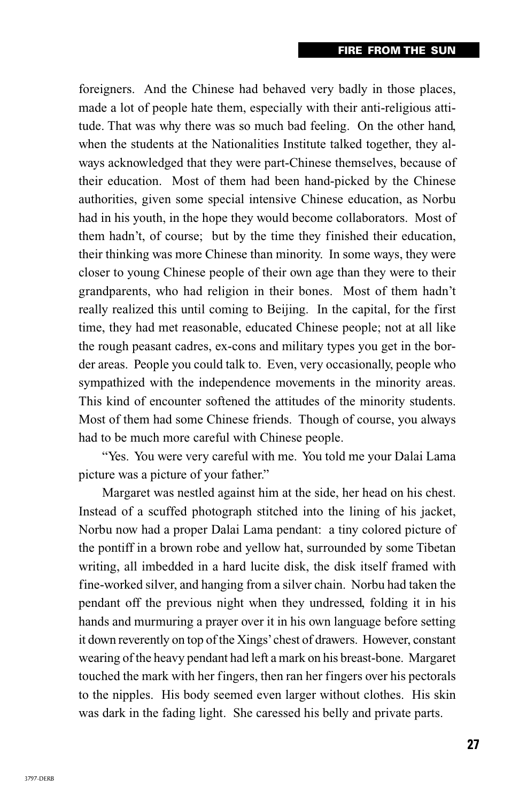foreigners. And the Chinese had behaved very badly in those places, made a lot of people hate them, especially with their anti-religious attitude. That was why there was so much bad feeling. On the other hand, when the students at the Nationalities Institute talked together, they always acknowledged that they were part-Chinese themselves, because of their education. Most of them had been hand-picked by the Chinese authorities, given some special intensive Chinese education, as Norbu had in his youth, in the hope they would become collaborators. Most of them hadn't, of course; but by the time they finished their education, their thinking was more Chinese than minority. In some ways, they were closer to young Chinese people of their own age than they were to their grandparents, who had religion in their bones. Most of them hadn't really realized this until coming to Beijing. In the capital, for the first time, they had met reasonable, educated Chinese people; not at all like the rough peasant cadres, ex-cons and military types you get in the border areas. People you could talk to. Even, very occasionally, people who sympathized with the independence movements in the minority areas. This kind of encounter softened the attitudes of the minority students. Most of them had some Chinese friends. Though of course, you always had to be much more careful with Chinese people.

"Yes. You were very careful with me. You told me your Dalai Lama picture was a picture of your father."

Margaret was nestled against him at the side, her head on his chest. Instead of a scuffed photograph stitched into the lining of his jacket, Norbu now had a proper Dalai Lama pendant: a tiny colored picture of the pontiff in a brown robe and yellow hat, surrounded by some Tibetan writing, all imbedded in a hard lucite disk, the disk itself framed with fine-worked silver, and hanging from a silver chain. Norbu had taken the pendant off the previous night when they undressed, folding it in his hands and murmuring a prayer over it in his own language before setting it down reverently on top of the Xings' chest of drawers. However, constant wearing of the heavy pendant had left a mark on his breast-bone. Margaret touched the mark with her fingers, then ran her fingers over his pectorals to the nipples. His body seemed even larger without clothes. His skin was dark in the fading light. She caressed his belly and private parts.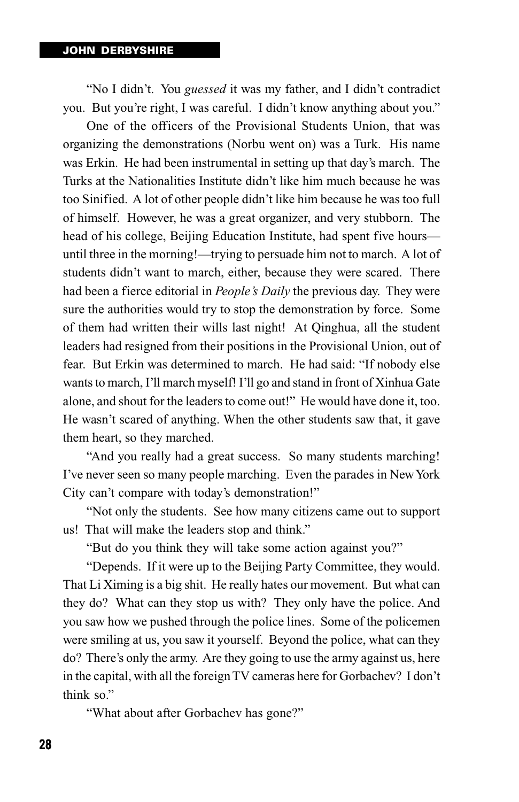"No I didn't. You *guessed* it was my father, and I didn't contradict you. But you're right, I was careful. I didn't know anything about you."

One of the officers of the Provisional Students Union, that was organizing the demonstrations (Norbu went on) was a Turk. His name was Erkin. He had been instrumental in setting up that day's march. The Turks at the Nationalities Institute didn't like him much because he was too Sinified. A lot of other people didn't like him because he was too full of himself. However, he was a great organizer, and very stubborn. The head of his college, Beijing Education Institute, had spent five hours until three in the morning!—trying to persuade him not to march. A lot of students didn't want to march, either, because they were scared. There had been a fierce editorial in *People's Daily* the previous day. They were sure the authorities would try to stop the demonstration by force. Some of them had written their wills last night! At Qinghua, all the student leaders had resigned from their positions in the Provisional Union, out of fear. But Erkin was determined to march. He had said: "If nobody else wants to march, I'll march myself! I'll go and stand in front of Xinhua Gate alone, and shout for the leaders to come out!" He would have done it, too. He wasn't scared of anything. When the other students saw that, it gave them heart, so they marched.

"And you really had a great success. So many students marching! I've never seen so many people marching. Even the parades in New York City can't compare with today's demonstration!"

"Not only the students. See how many citizens came out to support us! That will make the leaders stop and think."

"But do you think they will take some action against you?"

"Depends. If it were up to the Beijing Party Committee, they would. That Li Ximing is a big shit. He really hates our movement. But what can they do? What can they stop us with? They only have the police. And you saw how we pushed through the police lines. Some of the policemen were smiling at us, you saw it yourself. Beyond the police, what can they do? There's only the army. Are they going to use the army against us, here in the capital, with all the foreign TV cameras here for Gorbachev? I don't think so."

"What about after Gorbachev has gone?"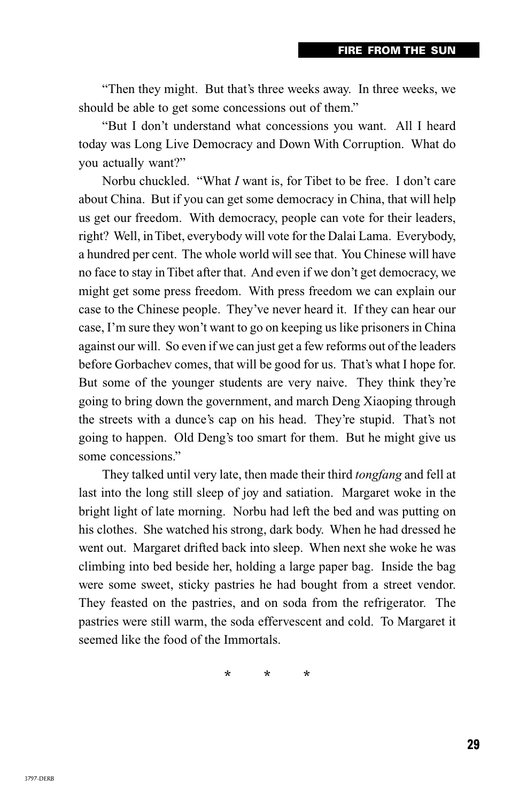"Then they might. But that's three weeks away. In three weeks, we should be able to get some concessions out of them."

"But I don't understand what concessions you want. All I heard today was Long Live Democracy and Down With Corruption. What do you actually want?"

Norbu chuckled. "What *I* want is, for Tibet to be free. I don't care about China. But if you can get some democracy in China, that will help us get our freedom. With democracy, people can vote for their leaders, right? Well, in Tibet, everybody will vote for the Dalai Lama. Everybody, a hundred per cent. The whole world will see that. You Chinese will have no face to stay in Tibet after that. And even if we don't get democracy, we might get some press freedom. With press freedom we can explain our case to the Chinese people. They've never heard it. If they can hear our case, I'm sure they won't want to go on keeping us like prisoners in China against our will. So even if we can just get a few reforms out of the leaders before Gorbachev comes, that will be good for us. That's what I hope for. But some of the younger students are very naive. They think they're going to bring down the government, and march Deng Xiaoping through the streets with a dunce's cap on his head. They're stupid. That's not going to happen. Old Deng's too smart for them. But he might give us some concessions."

They talked until very late, then made their third *tongfang* and fell at last into the long still sleep of joy and satiation. Margaret woke in the bright light of late morning. Norbu had left the bed and was putting on his clothes. She watched his strong, dark body. When he had dressed he went out. Margaret drifted back into sleep. When next she woke he was climbing into bed beside her, holding a large paper bag. Inside the bag were some sweet, sticky pastries he had bought from a street vendor. They feasted on the pastries, and on soda from the refrigerator. The pastries were still warm, the soda effervescent and cold. To Margaret it seemed like the food of the Immortals.

\* \* \*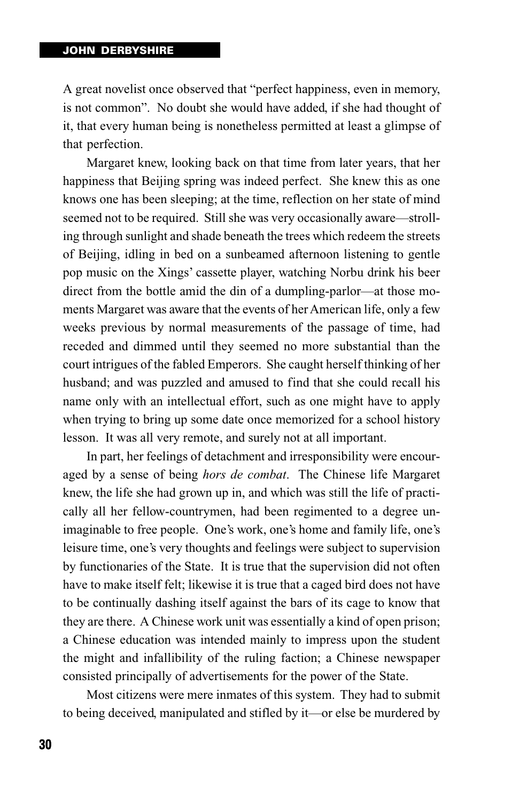## **JOHN DERBYSHIRE**

A great novelist once observed that "perfect happiness, even in memory, is not common". No doubt she would have added, if she had thought of it, that every human being is nonetheless permitted at least a glimpse of that perfection.

Margaret knew, looking back on that time from later years, that her happiness that Beijing spring was indeed perfect. She knew this as one knows one has been sleeping; at the time, reflection on her state of mind seemed not to be required. Still she was very occasionally aware—strolling through sunlight and shade beneath the trees which redeem the streets of Beijing, idling in bed on a sunbeamed afternoon listening to gentle pop music on the Xings' cassette player, watching Norbu drink his beer direct from the bottle amid the din of a dumpling-parlor—at those moments Margaret was aware that the events of her American life, only a few weeks previous by normal measurements of the passage of time, had receded and dimmed until they seemed no more substantial than the court intrigues of the fabled Emperors. She caught herself thinking of her husband; and was puzzled and amused to find that she could recall his name only with an intellectual effort, such as one might have to apply when trying to bring up some date once memorized for a school history lesson. It was all very remote, and surely not at all important.

In part, her feelings of detachment and irresponsibility were encouraged by a sense of being *hors de combat*. The Chinese life Margaret knew, the life she had grown up in, and which was still the life of practically all her fellow-countrymen, had been regimented to a degree unimaginable to free people. One's work, one's home and family life, one's leisure time, one's very thoughts and feelings were subject to supervision by functionaries of the State. It is true that the supervision did not often have to make itself felt; likewise it is true that a caged bird does not have to be continually dashing itself against the bars of its cage to know that they are there. A Chinese work unit was essentially a kind of open prison; a Chinese education was intended mainly to impress upon the student the might and infallibility of the ruling faction; a Chinese newspaper consisted principally of advertisements for the power of the State.

Most citizens were mere inmates of this system. They had to submit to being deceived, manipulated and stifled by it—or else be murdered by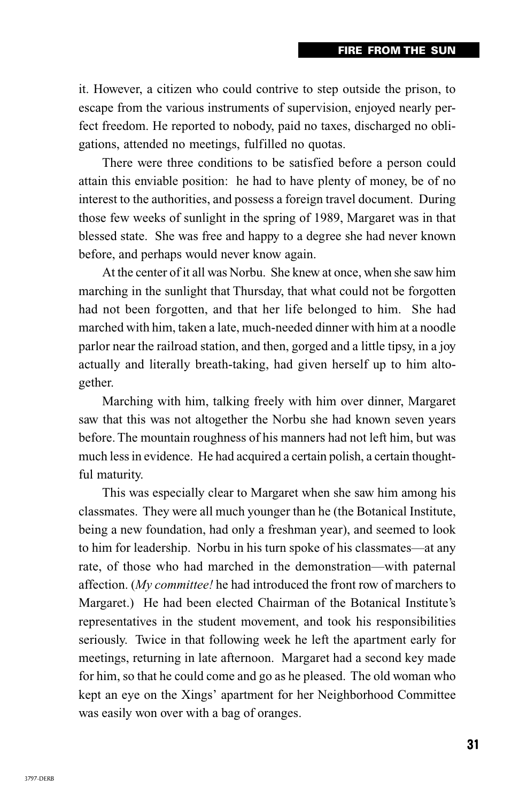it. However, a citizen who could contrive to step outside the prison, to escape from the various instruments of supervision, enjoyed nearly perfect freedom. He reported to nobody, paid no taxes, discharged no obligations, attended no meetings, fulfilled no quotas.

There were three conditions to be satisfied before a person could attain this enviable position: he had to have plenty of money, be of no interest to the authorities, and possess a foreign travel document. During those few weeks of sunlight in the spring of 1989, Margaret was in that blessed state. She was free and happy to a degree she had never known before, and perhaps would never know again.

At the center of it all was Norbu. She knew at once, when she saw him marching in the sunlight that Thursday, that what could not be forgotten had not been forgotten, and that her life belonged to him. She had marched with him, taken a late, much-needed dinner with him at a noodle parlor near the railroad station, and then, gorged and a little tipsy, in a joy actually and literally breath-taking, had given herself up to him altogether.

Marching with him, talking freely with him over dinner, Margaret saw that this was not altogether the Norbu she had known seven years before. The mountain roughness of his manners had not left him, but was much less in evidence. He had acquired a certain polish, a certain thoughtful maturity.

This was especially clear to Margaret when she saw him among his classmates. They were all much younger than he (the Botanical Institute, being a new foundation, had only a freshman year), and seemed to look to him for leadership. Norbu in his turn spoke of his classmates—at any rate, of those who had marched in the demonstration—with paternal affection. (*My committee!* he had introduced the front row of marchers to Margaret.) He had been elected Chairman of the Botanical Institute's representatives in the student movement, and took his responsibilities seriously. Twice in that following week he left the apartment early for meetings, returning in late afternoon. Margaret had a second key made for him, so that he could come and go as he pleased. The old woman who kept an eye on the Xings' apartment for her Neighborhood Committee was easily won over with a bag of oranges.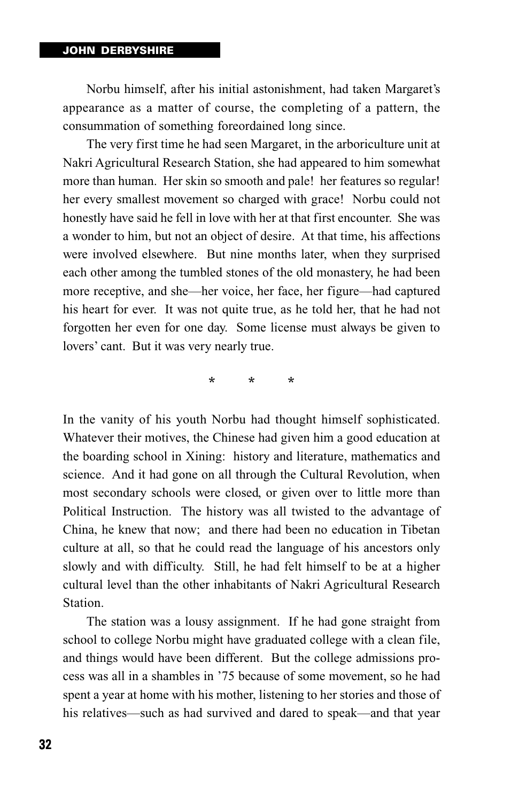Norbu himself, after his initial astonishment, had taken Margaret's appearance as a matter of course, the completing of a pattern, the consummation of something foreordained long since.

The very first time he had seen Margaret, in the arboriculture unit at Nakri Agricultural Research Station, she had appeared to him somewhat more than human. Her skin so smooth and pale! her features so regular! her every smallest movement so charged with grace! Norbu could not honestly have said he fell in love with her at that first encounter. She was a wonder to him, but not an object of desire. At that time, his affections were involved elsewhere. But nine months later, when they surprised each other among the tumbled stones of the old monastery, he had been more receptive, and she—her voice, her face, her figure—had captured his heart for ever. It was not quite true, as he told her, that he had not forgotten her even for one day. Some license must always be given to lovers' cant. But it was very nearly true.

\* \* \*

In the vanity of his youth Norbu had thought himself sophisticated. Whatever their motives, the Chinese had given him a good education at the boarding school in Xining: history and literature, mathematics and science. And it had gone on all through the Cultural Revolution, when most secondary schools were closed, or given over to little more than Political Instruction. The history was all twisted to the advantage of China, he knew that now; and there had been no education in Tibetan culture at all, so that he could read the language of his ancestors only slowly and with difficulty. Still, he had felt himself to be at a higher cultural level than the other inhabitants of Nakri Agricultural Research Station.

The station was a lousy assignment. If he had gone straight from school to college Norbu might have graduated college with a clean file, and things would have been different. But the college admissions process was all in a shambles in '75 because of some movement, so he had spent a year at home with his mother, listening to her stories and those of his relatives—such as had survived and dared to speak—and that year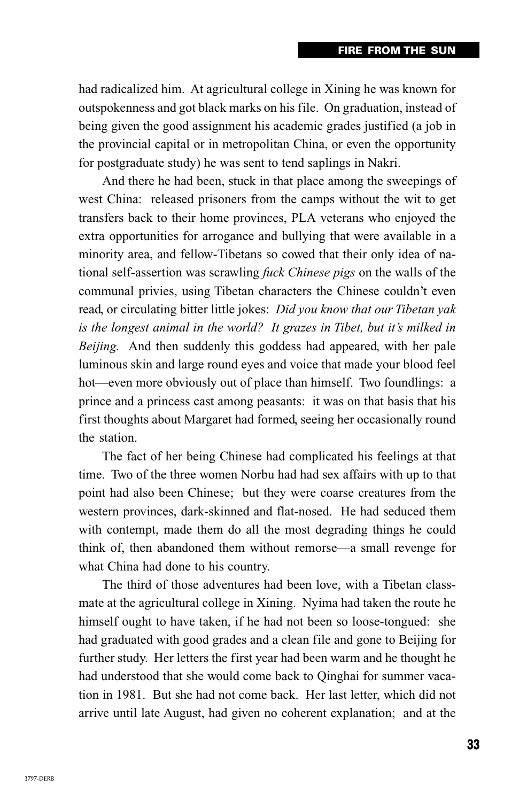had radicalized him. At agricultural college in Xining he was known for outspokenness and got black marks on his file. On graduation, instead of being given the good assignment his academic grades justified (a job in the provincial capital or in metropolitan China, or even the opportunity for postgraduate study) he was sent to tend saplings in Nakri.

And there he had been, stuck in that place among the sweepings of west China: released prisoners from the camps without the wit to get transfers back to their home provinces, PLA veterans who enjoyed the extra opportunities for arrogance and bullying that were available in a minority area, and fellow-Tibetans so cowed that their only idea of national self-assertion was scrawling *fuck Chinese pigs* on the walls of the communal privies, using Tibetan characters the Chinese couldn't even read, or circulating bitter little jokes: *Did you know that our Tibetan yak is the longest animal in the world? It grazes in Tibet, but it's milked in Beijing.* And then suddenly this goddess had appeared, with her pale luminous skin and large round eyes and voice that made your blood feel hot—even more obviously out of place than himself. Two foundlings: a prince and a princess cast among peasants: it was on that basis that his first thoughts about Margaret had formed, seeing her occasionally round the station.

The fact of her being Chinese had complicated his feelings at that time. Two of the three women Norbu had had sex affairs with up to that point had also been Chinese; but they were coarse creatures from the western provinces, dark-skinned and flat-nosed. He had seduced them with contempt, made them do all the most degrading things he could think of, then abandoned them without remorse—a small revenge for what China had done to his country.

The third of those adventures had been love, with a Tibetan classmate at the agricultural college in Xining. Nyima had taken the route he himself ought to have taken, if he had not been so loose-tongued: she had graduated with good grades and a clean file and gone to Beijing for further study. Her letters the first year had been warm and he thought he had understood that she would come back to Qinghai for summer vacation in 1981. But she had not come back. Her last letter, which did not arrive until late August, had given no coherent explanation; and at the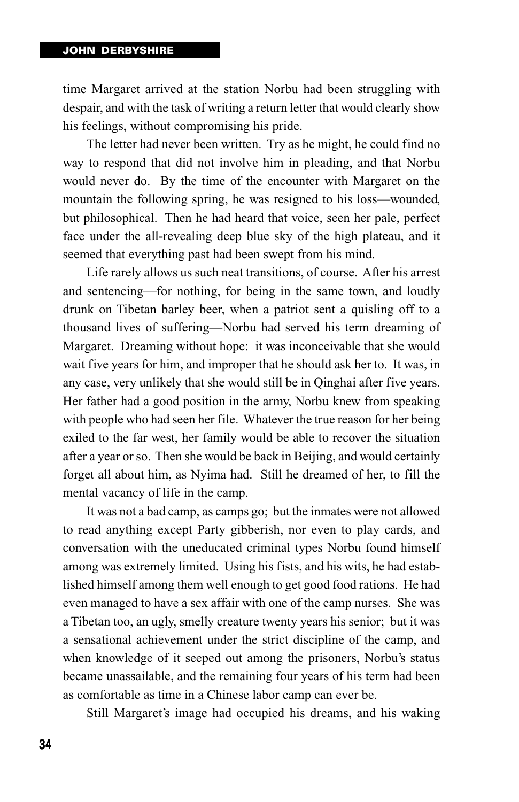time Margaret arrived at the station Norbu had been struggling with despair, and with the task of writing a return letter that would clearly show his feelings, without compromising his pride.

The letter had never been written. Try as he might, he could find no way to respond that did not involve him in pleading, and that Norbu would never do. By the time of the encounter with Margaret on the mountain the following spring, he was resigned to his loss—wounded, but philosophical. Then he had heard that voice, seen her pale, perfect face under the all-revealing deep blue sky of the high plateau, and it seemed that everything past had been swept from his mind.

Life rarely allows us such neat transitions, of course. After his arrest and sentencing—for nothing, for being in the same town, and loudly drunk on Tibetan barley beer, when a patriot sent a quisling off to a thousand lives of suffering—Norbu had served his term dreaming of Margaret. Dreaming without hope: it was inconceivable that she would wait five years for him, and improper that he should ask her to. It was, in any case, very unlikely that she would still be in Qinghai after five years. Her father had a good position in the army, Norbu knew from speaking with people who had seen her file. Whatever the true reason for her being exiled to the far west, her family would be able to recover the situation after a year or so. Then she would be back in Beijing, and would certainly forget all about him, as Nyima had. Still he dreamed of her, to fill the mental vacancy of life in the camp.

It was not a bad camp, as camps go; but the inmates were not allowed to read anything except Party gibberish, nor even to play cards, and conversation with the uneducated criminal types Norbu found himself among was extremely limited. Using his fists, and his wits, he had established himself among them well enough to get good food rations. He had even managed to have a sex affair with one of the camp nurses. She was a Tibetan too, an ugly, smelly creature twenty years his senior; but it was a sensational achievement under the strict discipline of the camp, and when knowledge of it seeped out among the prisoners, Norbu's status became unassailable, and the remaining four years of his term had been as comfortable as time in a Chinese labor camp can ever be.

Still Margaret's image had occupied his dreams, and his waking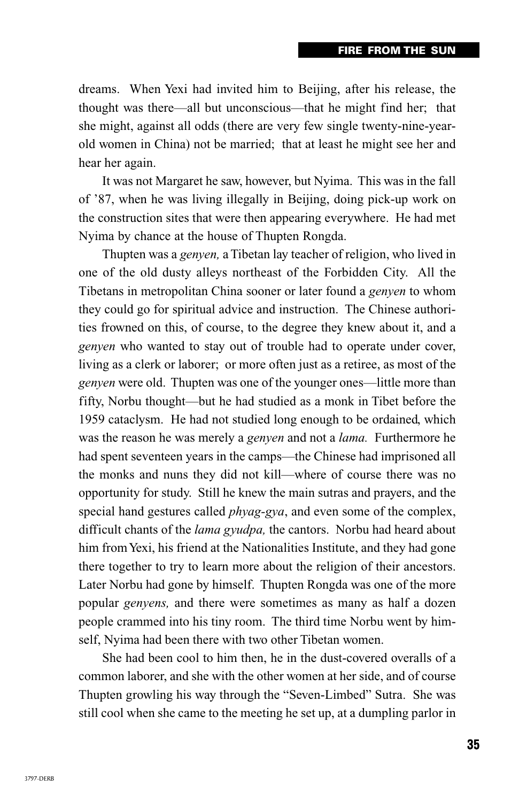dreams. When Yexi had invited him to Beijing, after his release, the thought was there—all but unconscious—that he might find her; that she might, against all odds (there are very few single twenty-nine-yearold women in China) not be married; that at least he might see her and hear her again.

It was not Margaret he saw, however, but Nyima. This was in the fall of '87, when he was living illegally in Beijing, doing pick-up work on the construction sites that were then appearing everywhere. He had met Nyima by chance at the house of Thupten Rongda.

Thupten was a *genyen,* a Tibetan lay teacher of religion, who lived in one of the old dusty alleys northeast of the Forbidden City. All the Tibetans in metropolitan China sooner or later found a *genyen* to whom they could go for spiritual advice and instruction. The Chinese authorities frowned on this, of course, to the degree they knew about it, and a *genyen* who wanted to stay out of trouble had to operate under cover, living as a clerk or laborer; or more often just as a retiree, as most of the *genyen* were old. Thupten was one of the younger ones—little more than fifty, Norbu thought—but he had studied as a monk in Tibet before the 1959 cataclysm. He had not studied long enough to be ordained, which was the reason he was merely a *genyen* and not a *lama.* Furthermore he had spent seventeen years in the camps—the Chinese had imprisoned all the monks and nuns they did not kill—where of course there was no opportunity for study. Still he knew the main sutras and prayers, and the special hand gestures called *phyag-gya*, and even some of the complex, difficult chants of the *lama gyudpa,* the cantors. Norbu had heard about him from Yexi, his friend at the Nationalities Institute, and they had gone there together to try to learn more about the religion of their ancestors. Later Norbu had gone by himself. Thupten Rongda was one of the more popular *genyens,* and there were sometimes as many as half a dozen people crammed into his tiny room. The third time Norbu went by himself, Nyima had been there with two other Tibetan women.

She had been cool to him then, he in the dust-covered overalls of a common laborer, and she with the other women at her side, and of course Thupten growling his way through the "Seven-Limbed" Sutra. She was still cool when she came to the meeting he set up, at a dumpling parlor in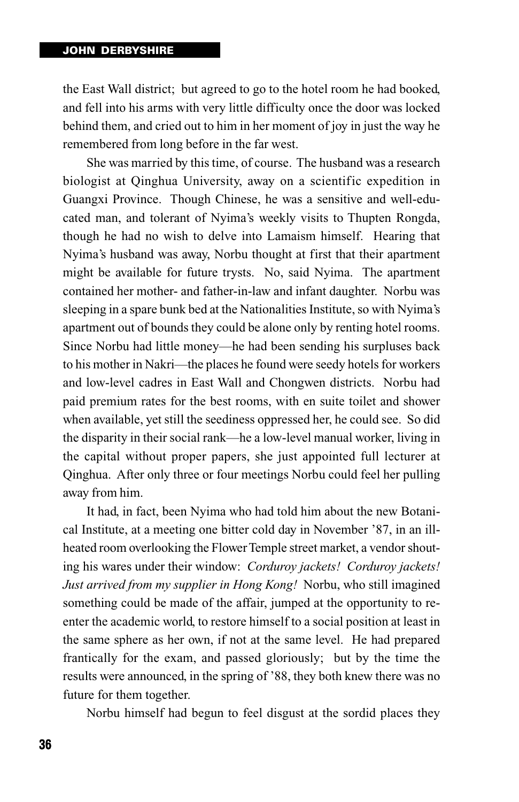the East Wall district; but agreed to go to the hotel room he had booked, and fell into his arms with very little difficulty once the door was locked behind them, and cried out to him in her moment of joy in just the way he remembered from long before in the far west.

She was married by this time, of course. The husband was a research biologist at Qinghua University, away on a scientific expedition in Guangxi Province. Though Chinese, he was a sensitive and well-educated man, and tolerant of Nyima's weekly visits to Thupten Rongda, though he had no wish to delve into Lamaism himself. Hearing that Nyima's husband was away, Norbu thought at first that their apartment might be available for future trysts. No, said Nyima. The apartment contained her mother- and father-in-law and infant daughter. Norbu was sleeping in a spare bunk bed at the Nationalities Institute, so with Nyima's apartment out of bounds they could be alone only by renting hotel rooms. Since Norbu had little money—he had been sending his surpluses back to his mother in Nakri—the places he found were seedy hotels for workers and low-level cadres in East Wall and Chongwen districts. Norbu had paid premium rates for the best rooms, with en suite toilet and shower when available, yet still the seediness oppressed her, he could see. So did the disparity in their social rank—he a low-level manual worker, living in the capital without proper papers, she just appointed full lecturer at Qinghua. After only three or four meetings Norbu could feel her pulling away from him.

It had, in fact, been Nyima who had told him about the new Botanical Institute, at a meeting one bitter cold day in November '87, in an illheated room overlooking the Flower Temple street market, a vendor shouting his wares under their window: *Corduroy jackets! Corduroy jackets! Just arrived from my supplier in Hong Kong!* Norbu, who still imagined something could be made of the affair, jumped at the opportunity to reenter the academic world, to restore himself to a social position at least in the same sphere as her own, if not at the same level. He had prepared frantically for the exam, and passed gloriously; but by the time the results were announced, in the spring of '88, they both knew there was no future for them together.

Norbu himself had begun to feel disgust at the sordid places they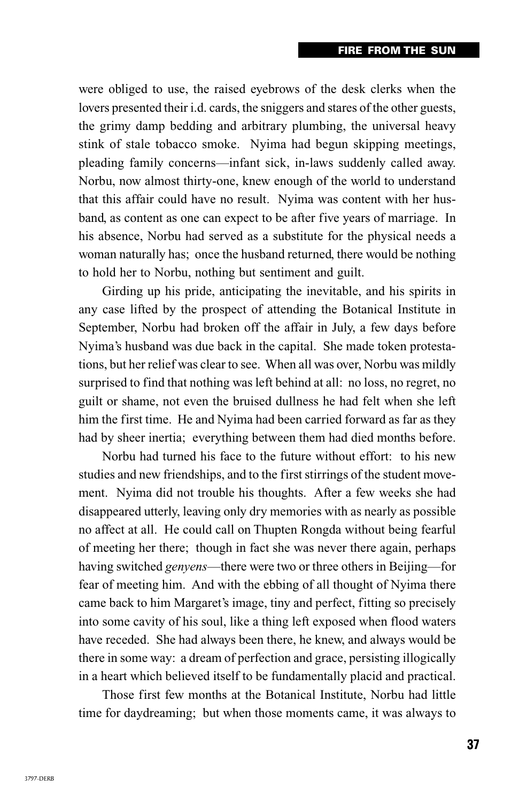were obliged to use, the raised eyebrows of the desk clerks when the lovers presented their i.d. cards, the sniggers and stares of the other guests, the grimy damp bedding and arbitrary plumbing, the universal heavy stink of stale tobacco smoke. Nyima had begun skipping meetings, pleading family concerns—infant sick, in-laws suddenly called away. Norbu, now almost thirty-one, knew enough of the world to understand that this affair could have no result. Nyima was content with her husband, as content as one can expect to be after five years of marriage. In his absence, Norbu had served as a substitute for the physical needs a woman naturally has; once the husband returned, there would be nothing to hold her to Norbu, nothing but sentiment and guilt.

Girding up his pride, anticipating the inevitable, and his spirits in any case lifted by the prospect of attending the Botanical Institute in September, Norbu had broken off the affair in July, a few days before Nyima's husband was due back in the capital. She made token protestations, but her relief was clear to see. When all was over, Norbu was mildly surprised to find that nothing was left behind at all: no loss, no regret, no guilt or shame, not even the bruised dullness he had felt when she left him the first time. He and Nyima had been carried forward as far as they had by sheer inertia; everything between them had died months before.

Norbu had turned his face to the future without effort: to his new studies and new friendships, and to the first stirrings of the student movement. Nyima did not trouble his thoughts. After a few weeks she had disappeared utterly, leaving only dry memories with as nearly as possible no affect at all. He could call on Thupten Rongda without being fearful of meeting her there; though in fact she was never there again, perhaps having switched *genyens*—there were two or three others in Beijing—for fear of meeting him. And with the ebbing of all thought of Nyima there came back to him Margaret's image, tiny and perfect, fitting so precisely into some cavity of his soul, like a thing left exposed when flood waters have receded. She had always been there, he knew, and always would be there in some way: a dream of perfection and grace, persisting illogically in a heart which believed itself to be fundamentally placid and practical.

Those first few months at the Botanical Institute, Norbu had little time for daydreaming; but when those moments came, it was always to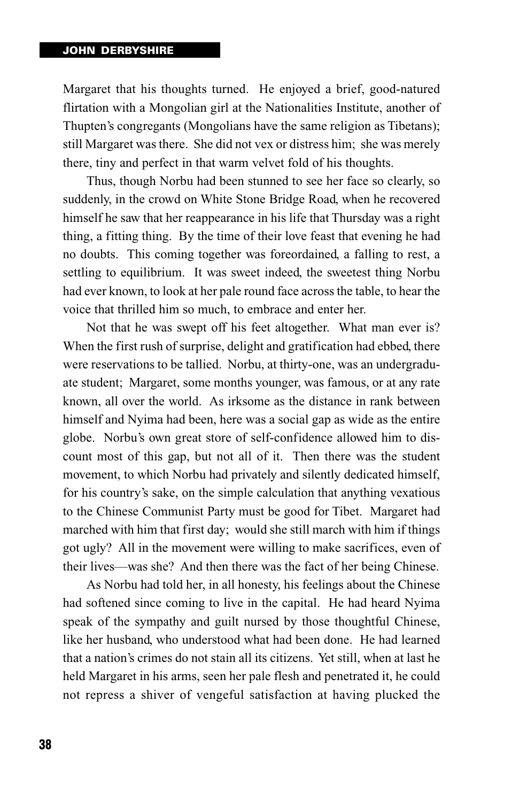Margaret that his thoughts turned. He enjoyed a brief, good-natured flirtation with a Mongolian girl at the Nationalities Institute, another of Thupten's congregants (Mongolians have the same religion as Tibetans); still Margaret was there. She did not vex or distress him; she was merely there, tiny and perfect in that warm velvet fold of his thoughts.

Thus, though Norbu had been stunned to see her face so clearly, so suddenly, in the crowd on White Stone Bridge Road, when he recovered himself he saw that her reappearance in his life that Thursday was a right thing, a fitting thing. By the time of their love feast that evening he had no doubts. This coming together was foreordained, a falling to rest, a settling to equilibrium. It was sweet indeed, the sweetest thing Norbu had ever known, to look at her pale round face across the table, to hear the voice that thrilled him so much, to embrace and enter her.

Not that he was swept off his feet altogether. What man ever is? When the first rush of surprise, delight and gratification had ebbed, there were reservations to be tallied. Norbu, at thirty-one, was an undergraduate student; Margaret, some months younger, was famous, or at any rate known, all over the world. As irksome as the distance in rank between himself and Nyima had been, here was a social gap as wide as the entire globe. Norbu's own great store of self-confidence allowed him to discount most of this gap, but not all of it. Then there was the student movement, to which Norbu had privately and silently dedicated himself, for his country's sake, on the simple calculation that anything vexatious to the Chinese Communist Party must be good for Tibet. Margaret had marched with him that first day; would she still march with him if things got ugly? All in the movement were willing to make sacrifices, even of their lives—was she? And then there was the fact of her being Chinese.

As Norbu had told her, in all honesty, his feelings about the Chinese had softened since coming to live in the capital. He had heard Nyima speak of the sympathy and guilt nursed by those thoughtful Chinese, like her husband, who understood what had been done. He had learned that a nation's crimes do not stain all its citizens. Yet still, when at last he held Margaret in his arms, seen her pale flesh and penetrated it, he could not repress a shiver of vengeful satisfaction at having plucked the